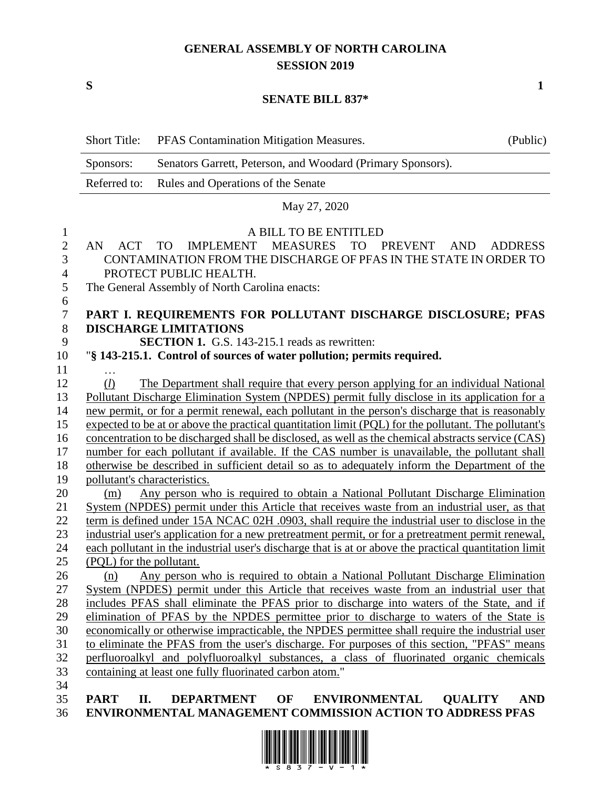## **GENERAL ASSEMBLY OF NORTH CAROLINA SESSION 2019**

**S 1**

#### **SENATE BILL 837\***

|                     | <b>Short Title:</b>                                                                                                                                | PFAS Contamination Mitigation Measures.                                                                | (Public)                     |
|---------------------|----------------------------------------------------------------------------------------------------------------------------------------------------|--------------------------------------------------------------------------------------------------------|------------------------------|
|                     | Sponsors:                                                                                                                                          | Senators Garrett, Peterson, and Woodard (Primary Sponsors).                                            |                              |
|                     | Referred to:                                                                                                                                       | Rules and Operations of the Senate                                                                     |                              |
|                     |                                                                                                                                                    | May 27, 2020                                                                                           |                              |
|                     |                                                                                                                                                    | A BILL TO BE ENTITLED                                                                                  |                              |
| 1<br>$\overline{2}$ | AN<br><b>ACT</b>                                                                                                                                   | IMPLEMENT MEASURES<br><b>TO</b><br><b>TO</b><br><b>PREVENT</b>                                         | <b>AND</b><br><b>ADDRESS</b> |
| 3                   |                                                                                                                                                    | CONTAMINATION FROM THE DISCHARGE OF PFAS IN THE STATE IN ORDER TO                                      |                              |
| $\overline{4}$      | PROTECT PUBLIC HEALTH.                                                                                                                             |                                                                                                        |                              |
| 5                   | The General Assembly of North Carolina enacts:                                                                                                     |                                                                                                        |                              |
| 6                   |                                                                                                                                                    |                                                                                                        |                              |
| $\tau$              |                                                                                                                                                    | PART I. REQUIREMENTS FOR POLLUTANT DISCHARGE DISCLOSURE; PFAS                                          |                              |
| $8\,$               | <b>DISCHARGE LIMITATIONS</b>                                                                                                                       |                                                                                                        |                              |
| 9                   |                                                                                                                                                    | <b>SECTION 1.</b> G.S. 143-215.1 reads as rewritten:                                                   |                              |
| 10                  |                                                                                                                                                    | "§ 143-215.1. Control of sources of water pollution; permits required.                                 |                              |
| 11                  |                                                                                                                                                    |                                                                                                        |                              |
| 12                  | (l)                                                                                                                                                | The Department shall require that every person applying for an individual National                     |                              |
| 13                  | Pollutant Discharge Elimination System (NPDES) permit fully disclose in its application for a                                                      |                                                                                                        |                              |
| 14                  | new permit, or for a permit renewal, each pollutant in the person's discharge that is reasonably                                                   |                                                                                                        |                              |
| 15                  | expected to be at or above the practical quantitation limit (PQL) for the pollutant. The pollutant's                                               |                                                                                                        |                              |
| 16                  | concentration to be discharged shall be disclosed, as well as the chemical abstracts service (CAS)                                                 |                                                                                                        |                              |
| 17                  | number for each pollutant if available. If the CAS number is unavailable, the pollutant shall                                                      |                                                                                                        |                              |
| 18                  | otherwise be described in sufficient detail so as to adequately inform the Department of the                                                       |                                                                                                        |                              |
| 19                  | pollutant's characteristics.                                                                                                                       |                                                                                                        |                              |
| 20                  | Any person who is required to obtain a National Pollutant Discharge Elimination<br>(m)                                                             |                                                                                                        |                              |
| 21                  | System (NPDES) permit under this Article that receives waste from an industrial user, as that                                                      |                                                                                                        |                              |
| 22                  | term is defined under 15A NCAC 02H .0903, shall require the industrial user to disclose in the                                                     |                                                                                                        |                              |
| 23                  | industrial user's application for a new pretreatment permit, or for a pretreatment permit renewal,                                                 |                                                                                                        |                              |
| 24                  |                                                                                                                                                    | each pollutant in the industrial user's discharge that is at or above the practical quantitation limit |                              |
| 25                  | (PQL) for the pollutant.                                                                                                                           |                                                                                                        |                              |
| 26                  |                                                                                                                                                    | (n) Any person who is required to obtain a National Pollutant Discharge Elimination                    |                              |
| 27                  |                                                                                                                                                    | System (NPDES) permit under this Article that receives waste from an industrial user that              |                              |
| 28                  | includes PFAS shall eliminate the PFAS prior to discharge into waters of the State, and if                                                         |                                                                                                        |                              |
| 29                  | elimination of PFAS by the NPDES permittee prior to discharge to waters of the State is                                                            |                                                                                                        |                              |
| 30                  | economically or otherwise impracticable, the NPDES permittee shall require the industrial user                                                     |                                                                                                        |                              |
| 31                  | to eliminate the PFAS from the user's discharge. For purposes of this section, "PFAS" means                                                        |                                                                                                        |                              |
| 32                  | perfluoroalkyl and polyfluoroalkyl substances, a class of fluorinated organic chemicals<br>containing at least one fully fluorinated carbon atom." |                                                                                                        |                              |
| 33<br>34            |                                                                                                                                                    |                                                                                                        |                              |
| 35                  | <b>PART</b><br>П.                                                                                                                                  | <b>DEPARTMENT</b><br>OF<br><b>ENVIRONMENTAL</b>                                                        | <b>QUALITY</b><br><b>AND</b> |
| 36                  |                                                                                                                                                    | ENVIRONMENTAL MANAGEMENT COMMISSION ACTION TO ADDRESS PFAS                                             |                              |

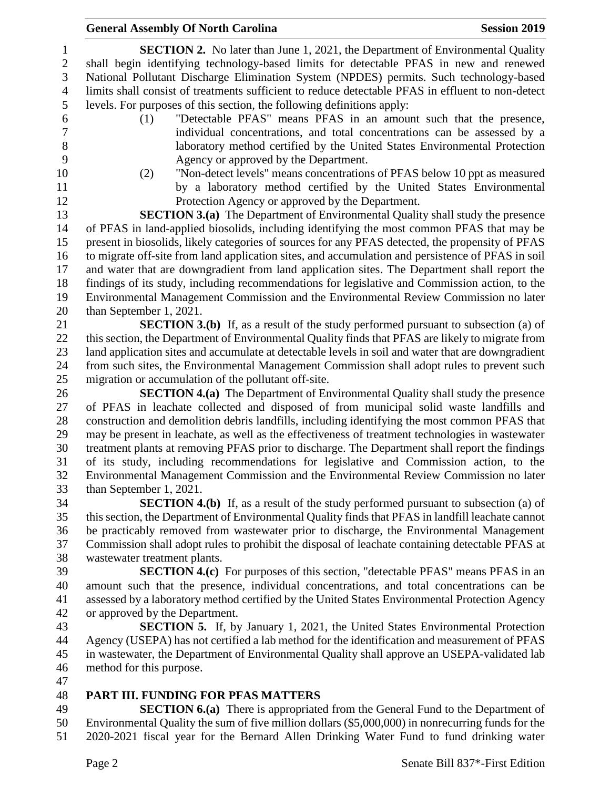#### **General Assembly Of North Carolina Session 2019 Session 2019**

 **SECTION 2.** No later than June 1, 2021, the Department of Environmental Quality shall begin identifying technology-based limits for detectable PFAS in new and renewed National Pollutant Discharge Elimination System (NPDES) permits. Such technology-based limits shall consist of treatments sufficient to reduce detectable PFAS in effluent to non-detect levels. For purposes of this section, the following definitions apply:

- (1) "Detectable PFAS" means PFAS in an amount such that the presence, individual concentrations, and total concentrations can be assessed by a laboratory method certified by the United States Environmental Protection Agency or approved by the Department.
- 

 (2) "Non-detect levels" means concentrations of PFAS below 10 ppt as measured by a laboratory method certified by the United States Environmental Protection Agency or approved by the Department.

 **SECTION 3.(a)** The Department of Environmental Quality shall study the presence of PFAS in land-applied biosolids, including identifying the most common PFAS that may be present in biosolids, likely categories of sources for any PFAS detected, the propensity of PFAS to migrate off-site from land application sites, and accumulation and persistence of PFAS in soil and water that are downgradient from land application sites. The Department shall report the findings of its study, including recommendations for legislative and Commission action, to the Environmental Management Commission and the Environmental Review Commission no later than September 1, 2021.

 **SECTION 3.(b)** If, as a result of the study performed pursuant to subsection (a) of this section, the Department of Environmental Quality finds that PFAS are likely to migrate from land application sites and accumulate at detectable levels in soil and water that are downgradient from such sites, the Environmental Management Commission shall adopt rules to prevent such migration or accumulation of the pollutant off-site.

 **SECTION 4.(a)** The Department of Environmental Quality shall study the presence of PFAS in leachate collected and disposed of from municipal solid waste landfills and construction and demolition debris landfills, including identifying the most common PFAS that may be present in leachate, as well as the effectiveness of treatment technologies in wastewater treatment plants at removing PFAS prior to discharge. The Department shall report the findings of its study, including recommendations for legislative and Commission action, to the Environmental Management Commission and the Environmental Review Commission no later than September 1, 2021.

 **SECTION 4.(b)** If, as a result of the study performed pursuant to subsection (a) of this section, the Department of Environmental Quality finds that PFAS in landfill leachate cannot be practicably removed from wastewater prior to discharge, the Environmental Management Commission shall adopt rules to prohibit the disposal of leachate containing detectable PFAS at wastewater treatment plants.

 **SECTION 4.(c)** For purposes of this section, "detectable PFAS" means PFAS in an amount such that the presence, individual concentrations, and total concentrations can be assessed by a laboratory method certified by the United States Environmental Protection Agency or approved by the Department.

 **SECTION 5.** If, by January 1, 2021, the United States Environmental Protection Agency (USEPA) has not certified a lab method for the identification and measurement of PFAS in wastewater, the Department of Environmental Quality shall approve an USEPA-validated lab method for this purpose.

### **PART III. FUNDING FOR PFAS MATTERS**

 **SECTION 6.(a)** There is appropriated from the General Fund to the Department of Environmental Quality the sum of five million dollars (\$5,000,000) in nonrecurring funds for the 2020-2021 fiscal year for the Bernard Allen Drinking Water Fund to fund drinking water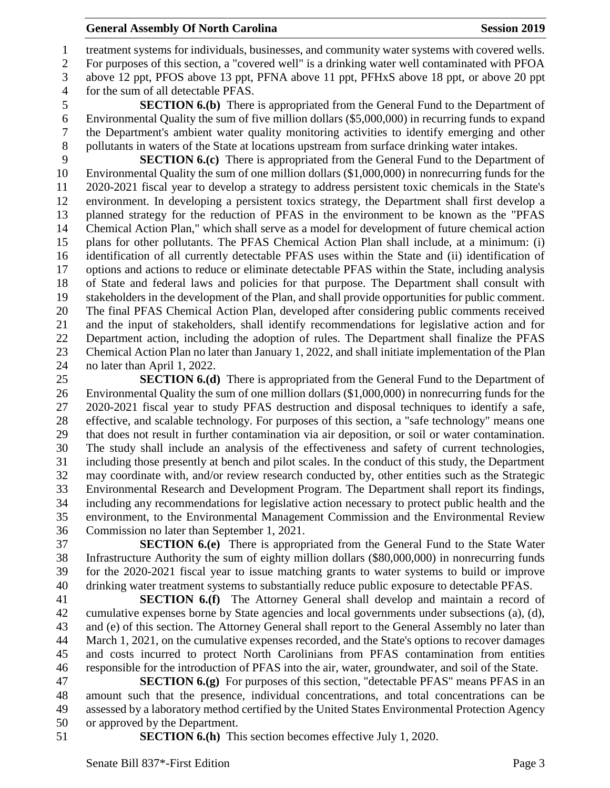#### **General Assembly Of North Carolina Session 2019 Session 2019**

 treatment systems for individuals, businesses, and community water systems with covered wells. For purposes of this section, a "covered well" is a drinking water well contaminated with PFOA above 12 ppt, PFOS above 13 ppt, PFNA above 11 ppt, PFHxS above 18 ppt, or above 20 ppt for the sum of all detectable PFAS.

 **SECTION 6.(b)** There is appropriated from the General Fund to the Department of Environmental Quality the sum of five million dollars (\$5,000,000) in recurring funds to expand the Department's ambient water quality monitoring activities to identify emerging and other pollutants in waters of the State at locations upstream from surface drinking water intakes.

 **SECTION 6.(c)** There is appropriated from the General Fund to the Department of Environmental Quality the sum of one million dollars (\$1,000,000) in nonrecurring funds for the 2020-2021 fiscal year to develop a strategy to address persistent toxic chemicals in the State's environment. In developing a persistent toxics strategy, the Department shall first develop a planned strategy for the reduction of PFAS in the environment to be known as the "PFAS Chemical Action Plan," which shall serve as a model for development of future chemical action plans for other pollutants. The PFAS Chemical Action Plan shall include, at a minimum: (i) identification of all currently detectable PFAS uses within the State and (ii) identification of options and actions to reduce or eliminate detectable PFAS within the State, including analysis of State and federal laws and policies for that purpose. The Department shall consult with stakeholders in the development of the Plan, and shall provide opportunities for public comment. The final PFAS Chemical Action Plan, developed after considering public comments received and the input of stakeholders, shall identify recommendations for legislative action and for Department action, including the adoption of rules. The Department shall finalize the PFAS Chemical Action Plan no later than January 1, 2022, and shall initiate implementation of the Plan no later than April 1, 2022.

 **SECTION 6.(d)** There is appropriated from the General Fund to the Department of Environmental Quality the sum of one million dollars (\$1,000,000) in nonrecurring funds for the 2020-2021 fiscal year to study PFAS destruction and disposal techniques to identify a safe, effective, and scalable technology. For purposes of this section, a "safe technology" means one that does not result in further contamination via air deposition, or soil or water contamination. The study shall include an analysis of the effectiveness and safety of current technologies, including those presently at bench and pilot scales. In the conduct of this study, the Department may coordinate with, and/or review research conducted by, other entities such as the Strategic Environmental Research and Development Program. The Department shall report its findings, including any recommendations for legislative action necessary to protect public health and the environment, to the Environmental Management Commission and the Environmental Review Commission no later than September 1, 2021.

 **SECTION 6.(e)** There is appropriated from the General Fund to the State Water Infrastructure Authority the sum of eighty million dollars (\$80,000,000) in nonrecurring funds for the 2020-2021 fiscal year to issue matching grants to water systems to build or improve drinking water treatment systems to substantially reduce public exposure to detectable PFAS.

 **SECTION 6.(f)** The Attorney General shall develop and maintain a record of cumulative expenses borne by State agencies and local governments under subsections (a), (d), and (e) of this section. The Attorney General shall report to the General Assembly no later than March 1, 2021, on the cumulative expenses recorded, and the State's options to recover damages and costs incurred to protect North Carolinians from PFAS contamination from entities responsible for the introduction of PFAS into the air, water, groundwater, and soil of the State.

 **SECTION 6.(g)** For purposes of this section, "detectable PFAS" means PFAS in an amount such that the presence, individual concentrations, and total concentrations can be assessed by a laboratory method certified by the United States Environmental Protection Agency or approved by the Department.

**SECTION 6.(h)** This section becomes effective July 1, 2020.